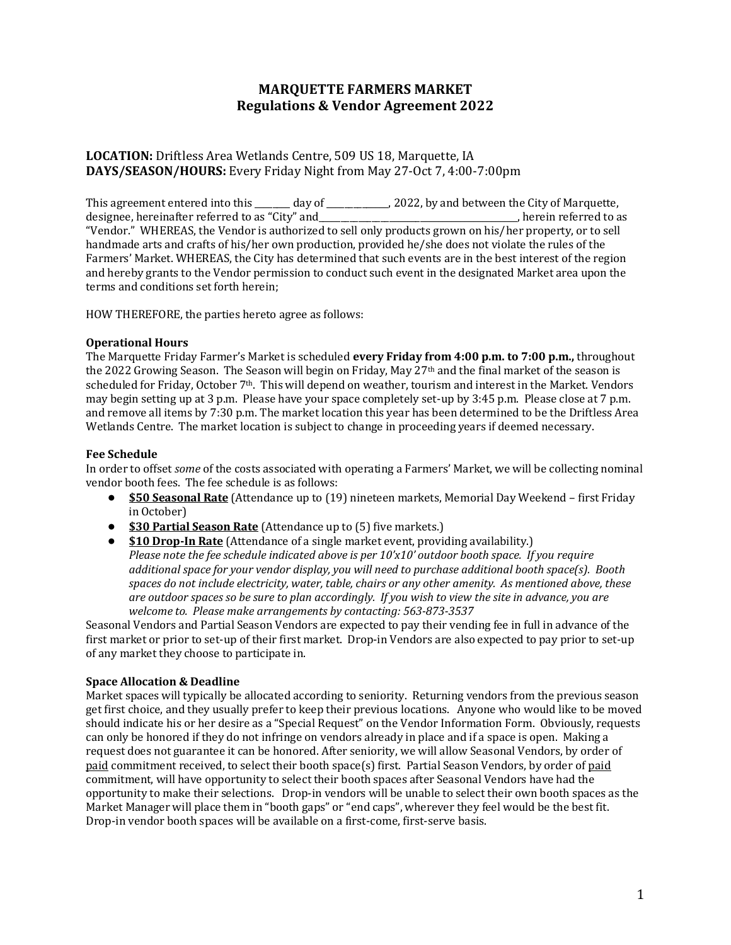### **MARQUETTE FARMERS MARKET Regulations & Vendor Agreement 2022**

#### **LOCATION:** Driftless Area Wetlands Centre, 509 US 18, Marquette, IA **DAYS/SEASON/HOURS:** Every Friday Night from May 27-Oct 7, 4:00-7:00pm

This agreement entered into this \_\_\_\_\_\_ day of \_\_\_\_\_\_\_\_\_\_, 2022, by and between the City of Marquette, designee, hereinafter referred to as "City" and \_\_\_\_\_\_\_\_\_\_\_\_\_\_\_\_\_\_\_\_\_\_\_\_\_\_\_\_\_, herein referred to as "Vendor." WHEREAS, the Vendor is authorized to sell only products grown on his/her property, or to sell handmade arts and crafts of his/her own production, provided he/she does not violate the rules of the Farmers' Market. WHEREAS, the City has determined that such events are in the best interest of the region and hereby grants to the Vendor permission to conduct such event in the designated Market area upon the terms and conditions set forth herein;

HOW THEREFORE, the parties hereto agree as follows:

#### **Operational Hours**

The Marquette Friday Farmer's Market is scheduled **every Friday from 4:00 p.m. to 7:00 p.m.,** throughout the 2022 Growing Season. The Season will begin on Friday, May 27<sup>th</sup> and the final market of the season is scheduled for Friday, October 7th. This will depend on weather, tourism and interest in the Market. Vendors may begin setting up at 3 p.m. Please have your space completely set-up by 3:45 p.m. Please close at 7 p.m. and remove all items by 7:30 p.m. The market location this year has been determined to be the Driftless Area Wetlands Centre. The market location is subject to change in proceeding years if deemed necessary.

#### **Fee Schedule**

In order to offset *some* of the costs associated with operating a Farmers' Market, we will be collecting nominal vendor booth fees. The fee schedule is as follows:

- **\$50 Seasonal Rate** (Attendance up to (19) nineteen markets, Memorial Day Weekend first Friday in October)
- **\$30 Partial Season Rate** (Attendance up to (5) five markets.)
- **\$10 Drop-In Rate** (Attendance of a single market event, providing availability.) *Please note the fee schedule indicated above is per 10'x10' outdoor booth space. If you require additional space for your vendor display, you will need to purchase additional booth space(s). Booth spaces do not include electricity, water, table, chairs or any other amenity. As mentioned above, these are outdoor spaces so be sure to plan accordingly. If you wish to view the site in advance, you are welcome to. Please make arrangements by contacting: 563-873-3537*

Seasonal Vendors and Partial Season Vendors are expected to pay their vending fee in full in advance of the first market or prior to set-up of their first market. Drop-in Vendors are also expected to pay prior to set-up of any market they choose to participate in.

#### **Space Allocation & Deadline**

Market spaces will typically be allocated according to seniority. Returning vendors from the previous season get first choice, and they usually prefer to keep their previous locations. Anyone who would like to be moved should indicate his or her desire as a "Special Request" on the Vendor Information Form. Obviously, requests can only be honored if they do not infringe on vendors already in place and if a space is open. Making a request does not guarantee it can be honored. After seniority, we will allow Seasonal Vendors, by order of paid commitment received, to select their booth space(s) first. Partial Season Vendors, by order of paid commitment, will have opportunity to select their booth spaces after Seasonal Vendors have had the opportunity to make their selections. Drop-in vendors will be unable to select their own booth spaces as the Market Manager will place them in "booth gaps" or "end caps", wherever they feel would be the best fit. Drop-in vendor booth spaces will be available on a first-come, first-serve basis.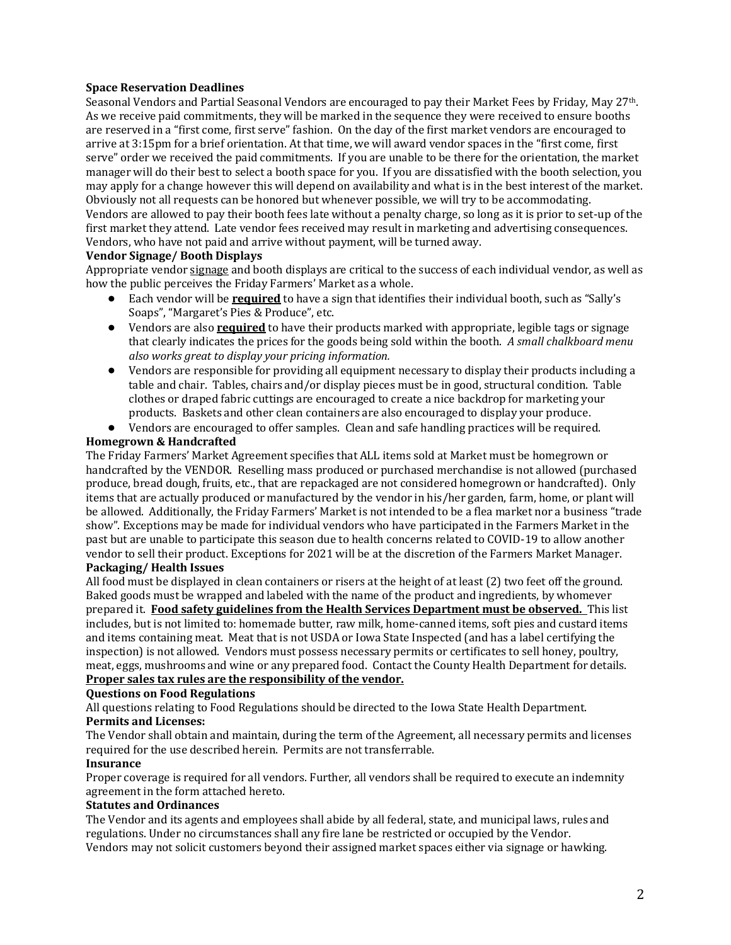#### **Space Reservation Deadlines**

Seasonal Vendors and Partial Seasonal Vendors are encouraged to pay their Market Fees by Friday, May 27th. As we receive paid commitments, they will be marked in the sequence they were received to ensure booths are reserved in a "first come, first serve" fashion. On the day of the first market vendors are encouraged to arrive at 3:15pm for a brief orientation. At that time, we will award vendor spaces in the "first come, first serve" order we received the paid commitments. If you are unable to be there for the orientation, the market manager will do their best to select a booth space for you. If you are dissatisfied with the booth selection, you may apply for a change however this will depend on availability and what is in the best interest of the market. Obviously not all requests can be honored but whenever possible, we will try to be accommodating. Vendors are allowed to pay their booth fees late without a penalty charge, so long as it is prior to set-up of the first market they attend. Late vendor fees received may result in marketing and advertising consequences. Vendors, who have not paid and arrive without payment, will be turned away.

#### **Vendor Signage/ Booth Displays**

Appropriate vendor signage and booth displays are critical to the success of each individual vendor, as well as how the public perceives the Friday Farmers' Market as a whole.

- Each vendor will be **required** to have a sign that identifies their individual booth, such as "Sally's Soaps", "Margaret's Pies & Produce", etc.
- Vendors are also **required** to have their products marked with appropriate, legible tags or signage that clearly indicates the prices for the goods being sold within the booth. *A small chalkboard menu also works great to display your pricing information.*
- Vendors are responsible for providing all equipment necessary to display their products including a table and chair. Tables, chairs and/or display pieces must be in good, structural condition. Table clothes or draped fabric cuttings are encouraged to create a nice backdrop for marketing your products. Baskets and other clean containers are also encouraged to display your produce.
- Vendors are encouraged to offer samples. Clean and safe handling practices will be required.

#### **Homegrown & Handcrafted**

The Friday Farmers' Market Agreement specifies that ALL items sold at Market must be homegrown or handcrafted by the VENDOR. Reselling mass produced or purchased merchandise is not allowed (purchased produce, bread dough, fruits, etc., that are repackaged are not considered homegrown or handcrafted). Only items that are actually produced or manufactured by the vendor in his/her garden, farm, home, or plant will be allowed. Additionally, the Friday Farmers' Market is not intended to be a flea market nor a business "trade show". Exceptions may be made for individual vendors who have participated in the Farmers Market in the past but are unable to participate this season due to health concerns related to COVID-19 to allow another vendor to sell their product. Exceptions for 2021 will be at the discretion of the Farmers Market Manager. **Packaging/ Health Issues**

All food must be displayed in clean containers or risers at the height of at least (2) two feet off the ground. Baked goods must be wrapped and labeled with the name of the product and ingredients, by whomever prepared it. **Food safety guidelines from the Health Services Department must be observed.** This list includes, but is not limited to: homemade butter, raw milk, home-canned items, soft pies and custard items and items containing meat. Meat that is not USDA or Iowa State Inspected (and has a label certifying the inspection) is not allowed. Vendors must possess necessary permits or certificates to sell honey, poultry, meat, eggs, mushrooms and wine or any prepared food. Contact the County Health Department for details. **Proper sales tax rules are the responsibility of the vendor.**

#### **Questions on Food Regulations**

All questions relating to Food Regulations should be directed to the Iowa State Health Department. **Permits and Licenses:**

The Vendor shall obtain and maintain, during the term of the Agreement, all necessary permits and licenses required for the use described herein. Permits are not transferrable.

#### **Insurance**

Proper coverage is required for all vendors. Further, all vendors shall be required to execute an indemnity agreement in the form attached hereto.

#### **Statutes and Ordinances**

The Vendor and its agents and employees shall abide by all federal, state, and municipal laws, rules and regulations. Under no circumstances shall any fire lane be restricted or occupied by the Vendor. Vendors may not solicit customers beyond their assigned market spaces either via signage or hawking.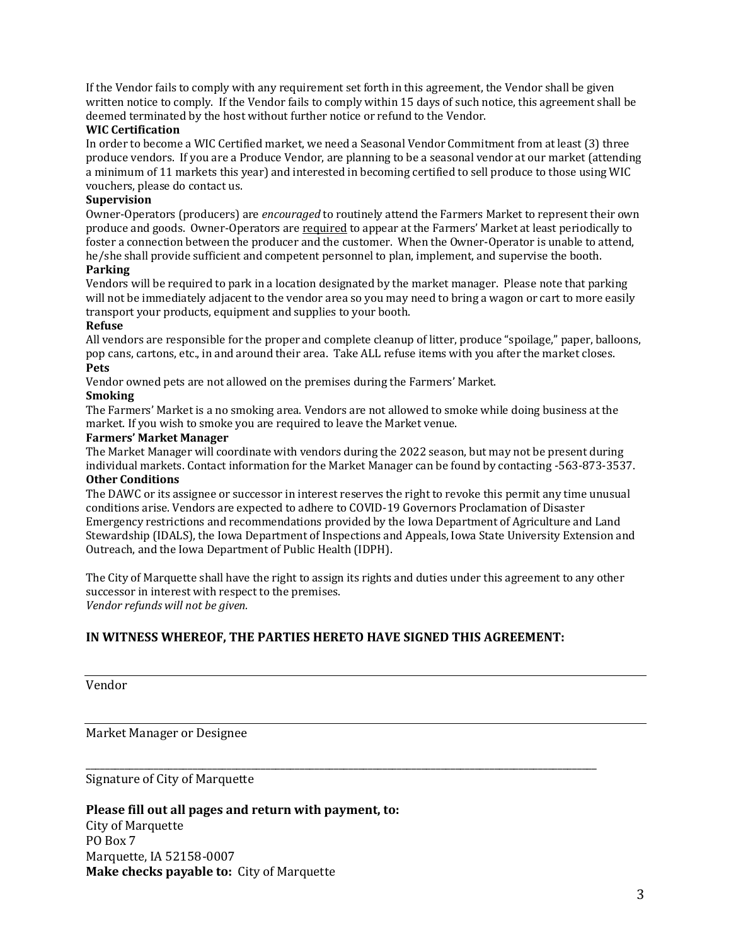If the Vendor fails to comply with any requirement set forth in this agreement, the Vendor shall be given written notice to comply. If the Vendor fails to comply within 15 days of such notice, this agreement shall be deemed terminated by the host without further notice or refund to the Vendor.

#### **WIC Certification**

In order to become a WIC Certified market, we need a Seasonal Vendor Commitment from at least (3) three produce vendors. If you are a Produce Vendor, are planning to be a seasonal vendor at our market (attending a minimum of 11 markets this year) and interested in becoming certified to sell produce to those using WIC vouchers, please do contact us.

#### **Supervision**

Owner-Operators (producers) are *encouraged* to routinely attend the Farmers Market to represent their own produce and goods. Owner-Operators are required to appear at the Farmers' Market at least periodically to foster a connection between the producer and the customer. When the Owner-Operator is unable to attend, he/she shall provide sufficient and competent personnel to plan, implement, and supervise the booth.

#### **Parking**

Vendors will be required to park in a location designated by the market manager. Please note that parking will not be immediately adjacent to the vendor area so you may need to bring a wagon or cart to more easily transport your products, equipment and supplies to your booth.

#### **Refuse**

All vendors are responsible for the proper and complete cleanup of litter, produce "spoilage," paper, balloons, pop cans, cartons, etc., in and around their area. Take ALL refuse items with you after the market closes. **Pets**

Vendor owned pets are not allowed on the premises during the Farmers' Market.

#### **Smoking**

The Farmers' Market is a no smoking area. Vendors are not allowed to smoke while doing business at the market. If you wish to smoke you are required to leave the Market venue.

#### **Farmers' Market Manager**

The Market Manager will coordinate with vendors during the 2022 season, but may not be present during individual markets. Contact information for the Market Manager can be found by contacting -563-873-3537.

#### **Other Conditions**

The DAWC or its assignee or successor in interest reserves the right to revoke this permit any time unusual conditions arise. Vendors are expected to adhere to COVID-19 Governors Proclamation of Disaster Emergency restrictions and recommendations provided by the Iowa Department of Agriculture and Land Stewardship (IDALS), the Iowa Department of Inspections and Appeals, Iowa State University Extension and Outreach, and the Iowa Department of Public Health (IDPH).

The City of Marquette shall have the right to assign its rights and duties under this agreement to any other successor in interest with respect to the premises. *Vendor refunds will not be given.*

#### **IN WITNESS WHEREOF, THE PARTIES HERETO HAVE SIGNED THIS AGREEMENT:**

\_\_\_\_\_\_\_\_\_\_\_\_\_\_\_\_\_\_\_\_\_\_\_\_\_\_\_\_\_\_\_\_\_\_\_\_\_\_\_\_\_\_\_\_\_\_\_\_\_\_\_\_\_\_\_\_\_\_\_\_\_\_\_\_\_\_\_\_\_\_\_\_\_\_\_\_\_\_\_\_\_\_\_\_\_\_\_\_\_\_\_\_\_\_\_\_\_\_\_\_\_\_\_\_\_

#### Vendor

Market Manager or Designee

Signature of City of Marquette

**Please fill out all pages and return with payment, to:** City of Marquette PO Box 7 Marquette, IA 52158-0007 **Make checks payable to:** City of Marquette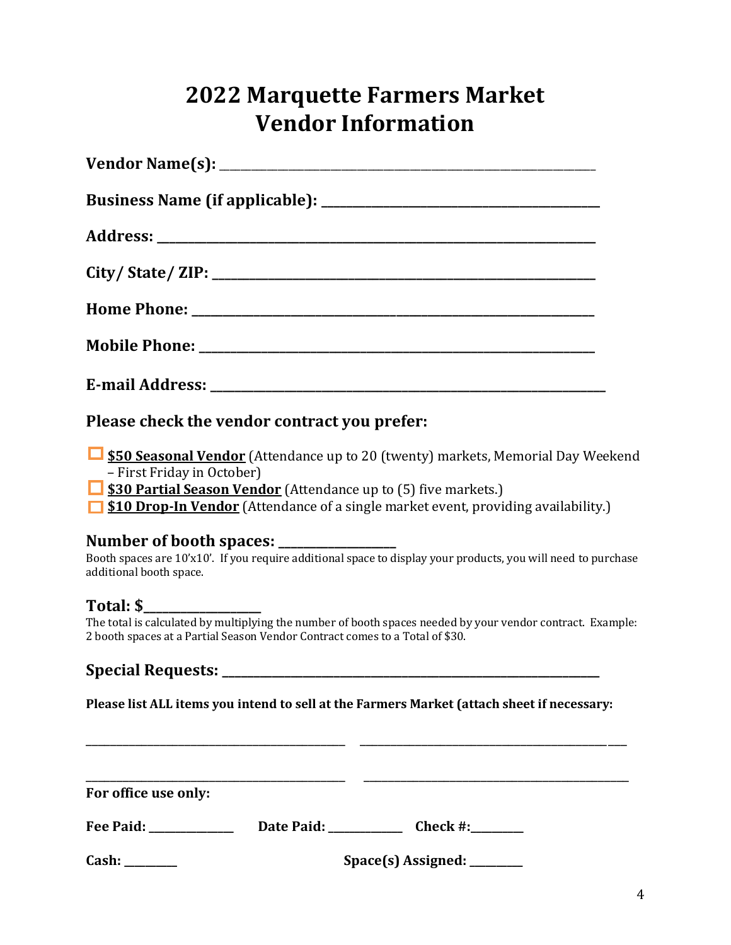# **2022 Marquette Farmers Market Vendor Information**

**Please check the vendor contract you prefer:**

**<u><b>E** \$50 Seasonal Vendor</u> (Attendance up to 20 (twenty) markets, Memorial Day Weekend – First Friday in October)

**<u><b>S30 Partial Season Vendor**</u> (Attendance up to (5) five markets.)

**<u>1</u> \$10 Drop-In Vendor** (Attendance of a single market event, providing availability.)

### **Number of booth spaces: \_\_\_\_\_\_\_\_\_\_\_\_\_\_\_\_\_\_\_**

Booth spaces are 10'x10'. If you require additional space to display your products, you will need to purchase additional booth space.

## **Total: \$\_\_\_\_\_\_\_\_\_\_\_\_\_\_\_\_\_\_\_**

The total is calculated by multiplying the number of booth spaces needed by your vendor contract. Example: 2 booth spaces at a Partial Season Vendor Contract comes to a Total of \$30.

## **Special Requests:** *Special Requests:* $\blacksquare$

**Please list ALL items you intend to sell at the Farmers Market (attach sheet if necessary:**

\_\_\_\_\_\_\_\_\_\_\_\_\_\_\_\_\_\_\_\_\_\_\_\_\_\_\_\_\_\_\_\_\_\_\_\_\_\_\_\_\_\_ \_\_\_\_\_\_\_\_\_\_\_\_\_\_\_\_\_\_\_\_\_\_\_\_\_\_\_\_\_\_\_\_\_\_\_\_\_\_\_\_\_\_\_

| For office use only: |                    |          |  |
|----------------------|--------------------|----------|--|
| Fee Paid:            | Date Paid:         | Check #: |  |
| Cash:                | Space(s) Assigned: |          |  |